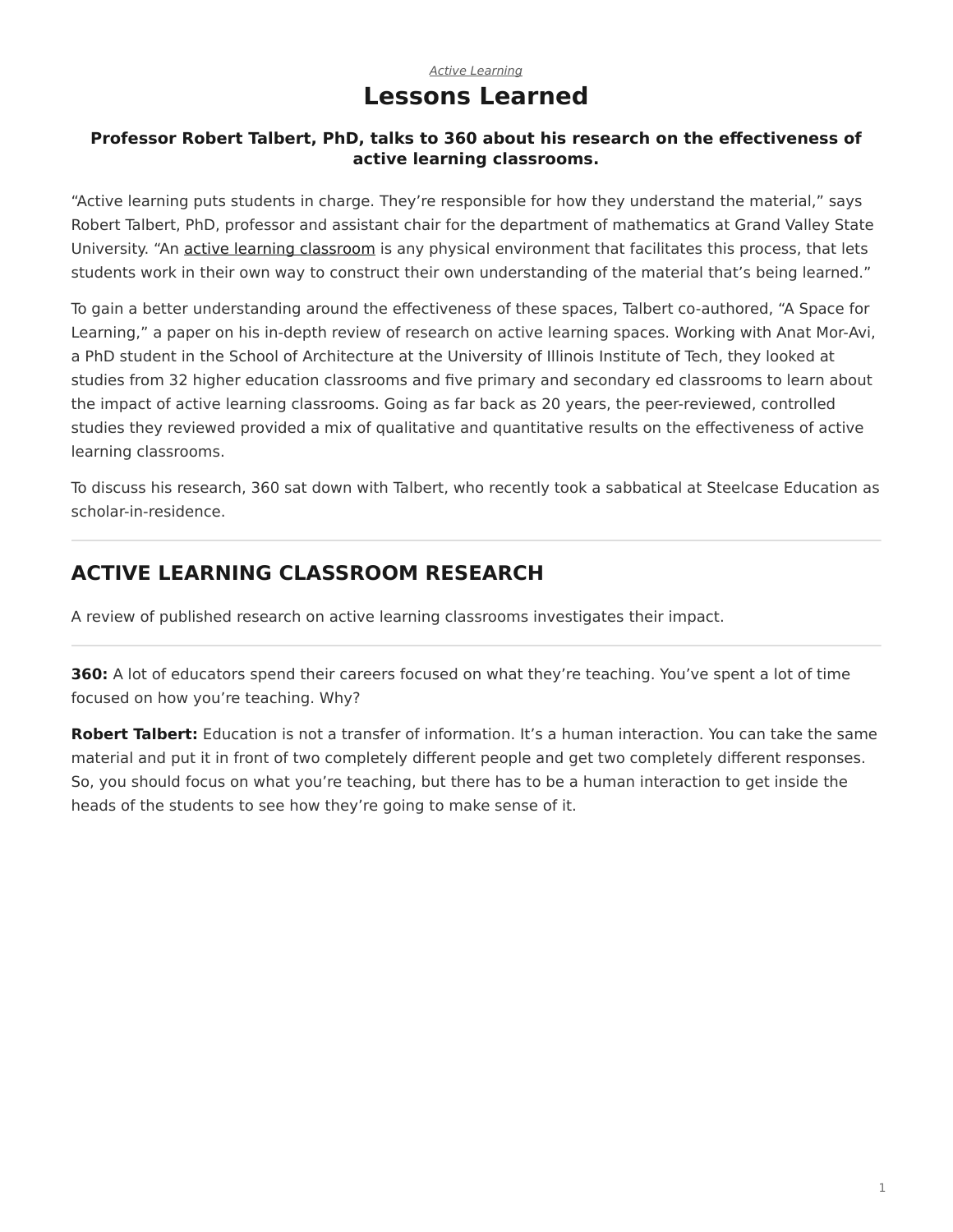### *[Active Learning](https://www.steelcase.com/research/topics/active-learning/)* **Lessons Learned**

#### <span id="page-0-0"></span>**Professor Robert Talbert, PhD, talks to 360 about his research on the effectiveness of active learning classrooms.**

"Active learning puts students in charge. They're responsible for how they understand the material," says Robert Talbert, PhD, professor and assistant chair for the department of mathematics at Grand Valley State University. "An [active learning classroom](https://www.steelcase.com/eu-en/spaces/learn-better/active-learning-classrooms/) is any physical environment that facilitates this process, that lets students work in their own way to construct their own understanding of the material that's being learned."

To gain a better understanding around the effectiveness of these spaces, Talbert co-authored, "A Space for Learning," a paper on his in-depth review of research on active learning spaces. Working with Anat Mor-Avi, a PhD student in the School of Architecture at the University of Illinois Institute of Tech, they looked at studies from 32 higher education classrooms and five primary and secondary ed classrooms to learn about the impact of active learning classrooms. Going as far back as 20 years, the peer-reviewed, controlled studies they reviewed provided a mix of qualitative and quantitative results on the effectiveness of active learning classrooms.

To discuss his research, 360 sat down with Talbert, who recently took a sabbatical at Steelcase Education as scholar-in-residence.

# **ACTIVE LEARNING CLASSROOM RESEARCH**

A review of published research on active learning classrooms investigates their impact.

**360:** A lot of educators spend their careers focused on what they're teaching. You've spent a lot of time focused on how you're teaching. Why?

**Robert Talbert:** Education is not a transfer of information. It's a human interaction. You can take the same material and put it in front of two completely different people and get two completely different responses. So, you should focus on what you're teaching, but there has to be a human interaction to get inside the heads of the students to see how they're going to make sense of it.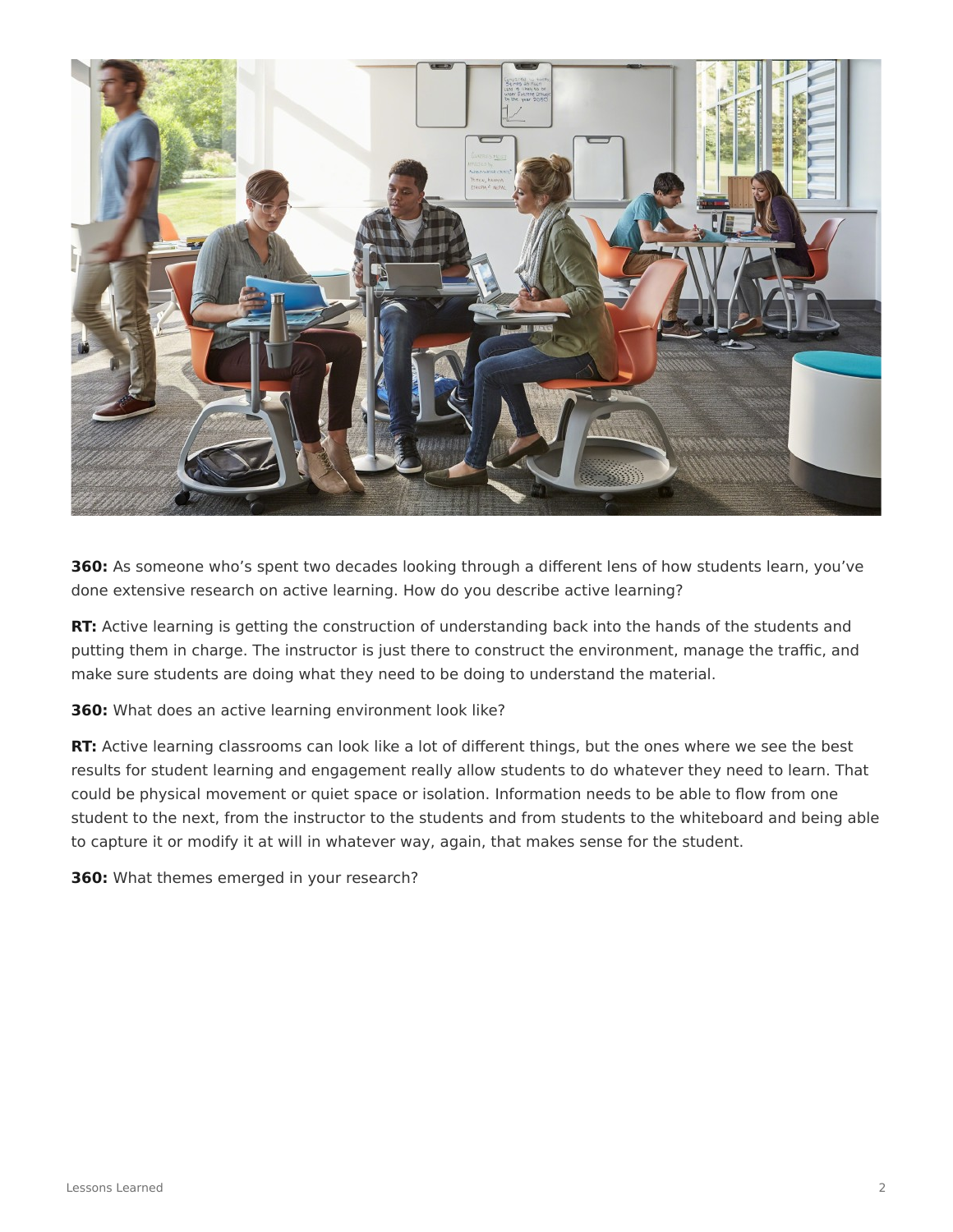

**360:** As someone who's spent two decades looking through a different lens of how students learn, you've done extensive research on active learning. How do you describe active learning?

**RT:** Active learning is getting the construction of understanding back into the hands of the students and putting them in charge. The instructor is just there to construct the environment, manage the traffic, and make sure students are doing what they need to be doing to understand the material.

**360:** What does an active learning environment look like?

**RT:** Active learning classrooms can look like a lot of different things, but the ones where we see the best results for student learning and engagement really allow students to do whatever they need to learn. That could be physical movement or quiet space or isolation. Information needs to be able to flow from one student to the next, from the instructor to the students and from students to the whiteboard and being able to capture it or modify it at will in whatever way, again, that makes sense for the student.

**360:** What themes emerged in your research?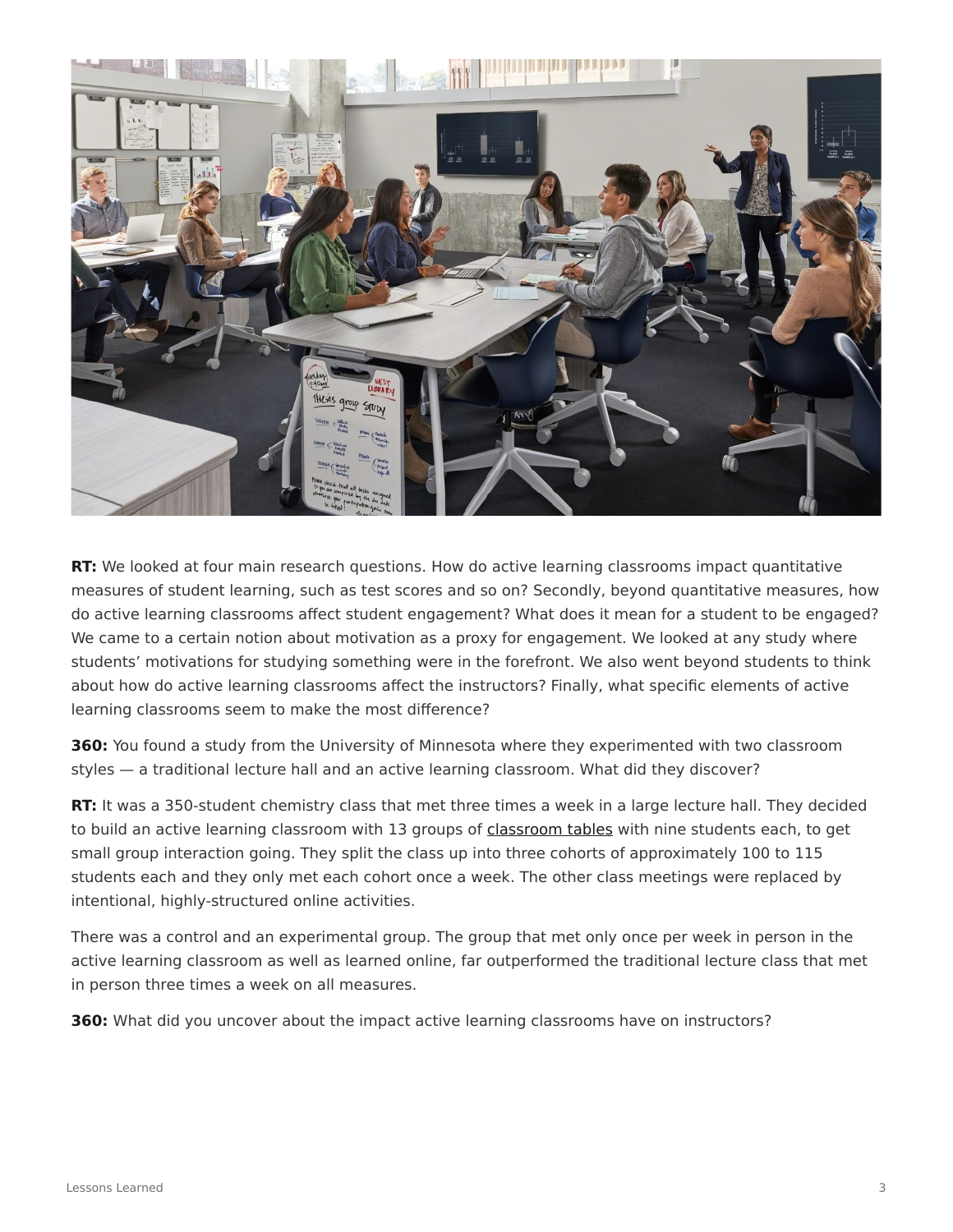

**RT:** We looked at four main research questions. How do active learning classrooms impact quantitative measures of student learning, such as test scores and so on? Secondly, beyond quantitative measures, how do active learning classrooms affect student engagement? What does it mean for a student to be engaged? We came to a certain notion about motivation as a proxy for engagement. We looked at any study where students' motivations for studying something were in the forefront. We also went beyond students to think about how do active learning classrooms affect the instructors? Finally, what specific elements of active learning classrooms seem to make the most difference?

**360:** You found a study from the University of Minnesota where they experimented with two classroom styles — a traditional lecture hall and an active learning classroom. What did they discover?

**RT:** It was a 350-student chemistry class that met three times a week in a large lecture hall. They decided to build an active learning classroom with 13 groups of [classroom tables](https://www.steelcase.com/eu-en/products/meeting-tables/) with nine students each, to get small group interaction going. They split the class up into three cohorts of approximately 100 to 115 students each and they only met each cohort once a week. The other class meetings were replaced by intentional, highly-structured online activities.

There was a control and an experimental group. The group that met only once per week in person in the active learning classroom as well as learned online, far outperformed the traditional lecture class that met in person three times a week on all measures.

**360:** What did you uncover about the impact active learning classrooms have on instructors?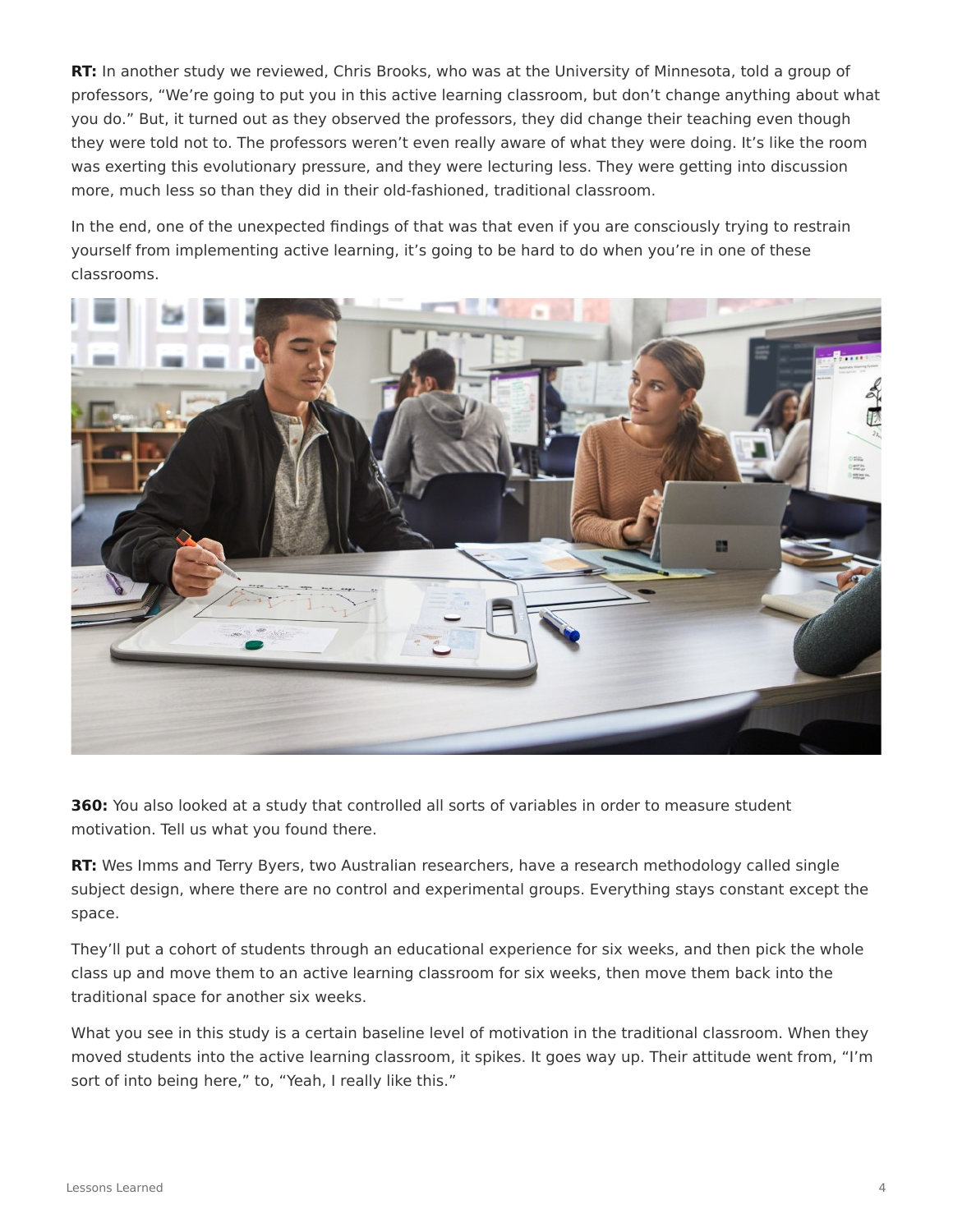**RT:** In another study we reviewed, Chris Brooks, who was at the University of Minnesota, told a group of professors, "We're going to put you in this active learning classroom, but don't change anything about what you do." But, it turned out as they observed the professors, they did change their teaching even though they were told not to. The professors weren't even really aware of what they were doing. It's like the room was exerting this evolutionary pressure, and they were lecturing less. They were getting into discussion more, much less so than they did in their old-fashioned, traditional classroom.

In the end, one of the unexpected findings of that was that even if you are consciously trying to restrain yourself from implementing active learning, it's going to be hard to do when you're in one of these classrooms.



**360:** You also looked at a study that controlled all sorts of variables in order to measure student motivation. Tell us what you found there.

**RT:** Wes Imms and Terry Byers, two Australian researchers, have a research methodology called single subject design, where there are no control and experimental groups. Everything stays constant except the space.

They'll put a cohort of students through an educational experience for six weeks, and then pick the whole class up and move them to an active learning classroom for six weeks, then move them back into the traditional space for another six weeks.

What you see in this study is a certain baseline level of motivation in the traditional classroom. When they moved students into the active learning classroom, it spikes. It goes way up. Their attitude went from, "I'm sort of into being here," to, "Yeah, I really like this."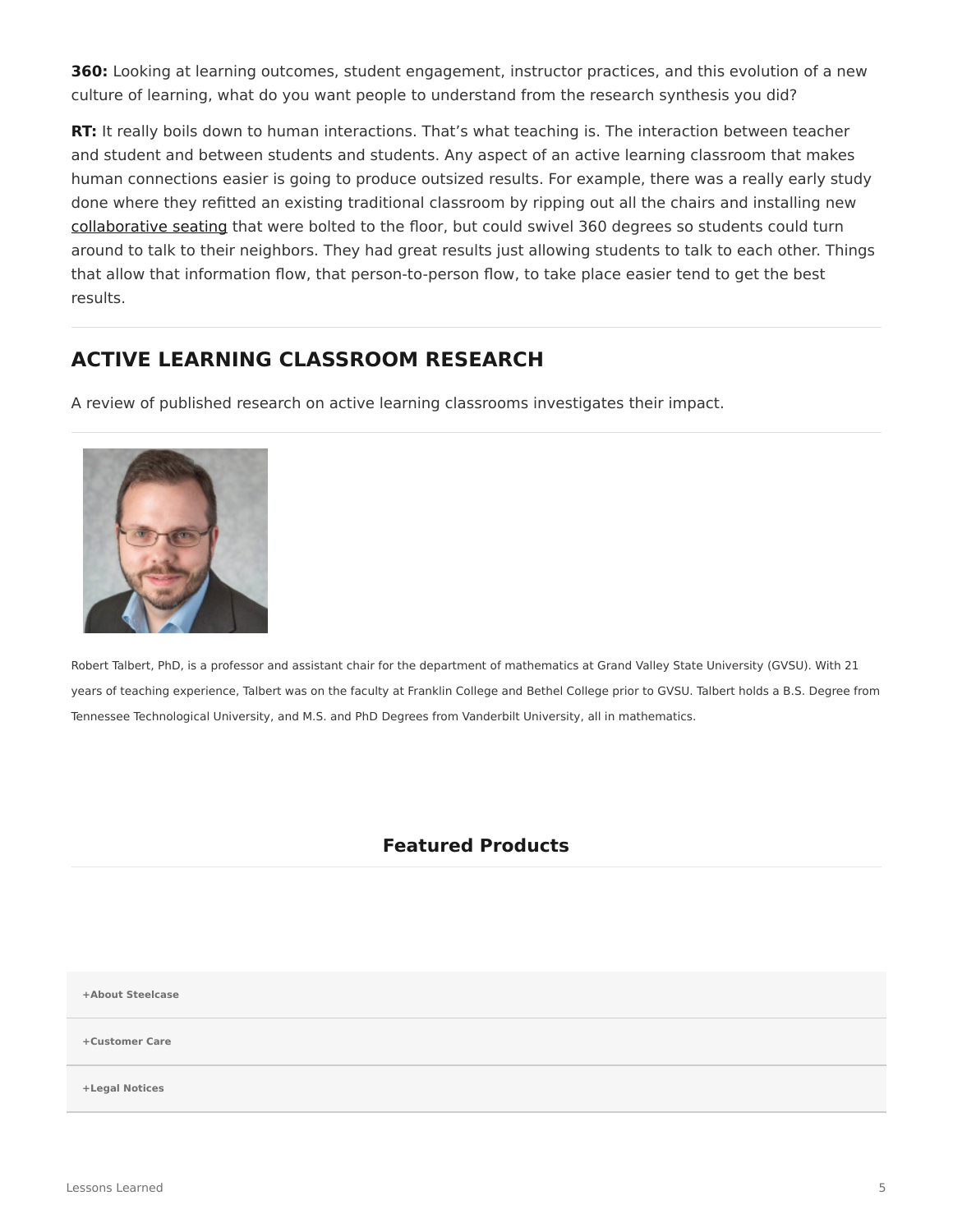**360:** Looking at learning outcomes, student engagement, instructor practices, and this evolution of a new culture of learning, what do you want people to understand from the research synthesis you did?

**RT:** It really boils down to human interactions. That's what teaching is. The interaction between teacher and student and between students and students. Any aspect of an active learning classroom that makes human connections easier is going to produce outsized results. For example, there was a really early study done where they refitted an existing traditional classroom by ripping out all the chairs and installing new [collaborative seating](https://www.steelcase.com/products/conference-chairs/) that were bolted to the floor, but could swivel 360 degrees so students could turn around to talk to their neighbors. They had great results just allowing students to talk to each other. Things that allow that information flow, that person-to-person flow, to take place easier tend to get the best results.

## **ACTIVE LEARNING CLASSROOM RESEARCH**

A review of published research on active learning classrooms investigates their impact.



Robert Talbert, PhD, is a professor and assistant chair for the department of mathematics at Grand Valley State University (GVSU). With 21 years of teaching experience, Talbert was on the faculty at Franklin College and Bethel College prior to GVSU. Talbert holds a B.S. Degree from Tennessee Technological University, and M.S. and PhD Degrees from Vanderbilt University, all in mathematics.

## **Featured Products**

**[+About Steelcase](https://www.steelcase.com/discover/steelcase/our-company/)**

**[+Customer Care](#page-0-0)**

**[+Legal Notices](#page-0-0)**